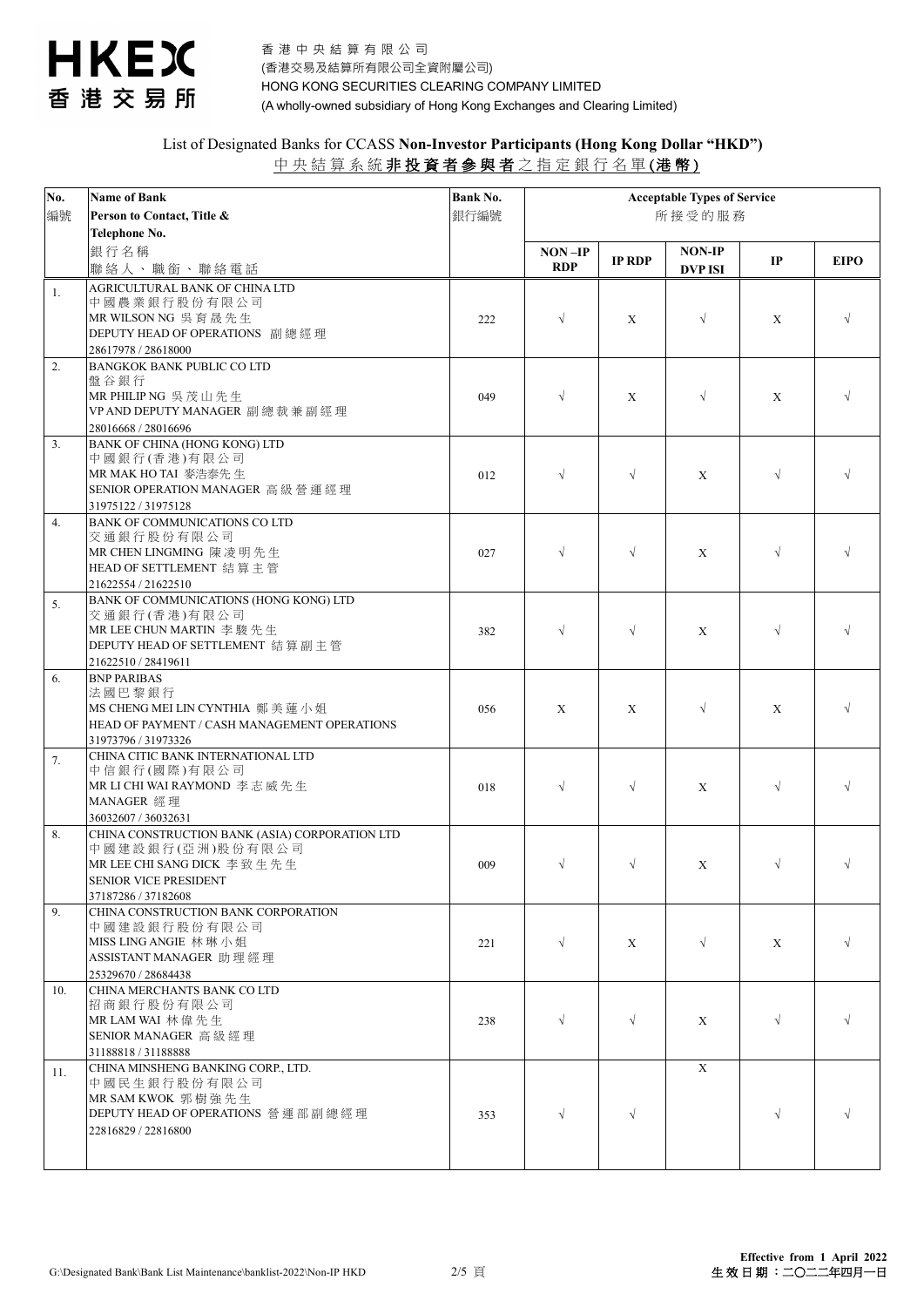

| No.<br>編號 | <b>Name of Bank</b><br>Person to Contact, Title & | Bank No.<br>銀行編號 | <b>Acceptable Types of Service</b><br>所接受的服務 |               |                |             |             |
|-----------|---------------------------------------------------|------------------|----------------------------------------------|---------------|----------------|-------------|-------------|
|           | Telephone No.                                     |                  |                                              |               |                |             |             |
|           | 銀行名稱                                              |                  | $NON$ -IP                                    |               | <b>NON-IP</b>  |             |             |
|           | 聯絡人、職銜、聯絡電話                                       |                  | <b>RDP</b>                                   | <b>IP RDP</b> | <b>DVP ISI</b> | IP          | <b>EIPO</b> |
|           |                                                   |                  |                                              |               |                |             |             |
| 1.        | AGRICULTURAL BANK OF CHINA LTD                    |                  |                                              |               |                |             |             |
|           | 中國農業銀行股份有限公司                                      |                  |                                              |               |                |             |             |
|           | MR WILSON NG 吳育晟先生                                | 222              | $\sqrt{ }$                                   | X             | $\sqrt{ }$     | X           | $\sqrt{ }$  |
|           | DEPUTY HEAD OF OPERATIONS 副總經理                    |                  |                                              |               |                |             |             |
|           | 28617978 / 28618000                               |                  |                                              |               |                |             |             |
| 2.        | <b>BANGKOK BANK PUBLIC CO LTD</b>                 |                  |                                              |               |                |             |             |
|           | 盤谷銀行                                              |                  |                                              |               |                |             |             |
|           | MR PHILIP NG 吳茂山先生                                | 049              | $\sqrt{ }$                                   | X             | $\sqrt{ }$     | $\mathbf X$ | $\sqrt{ }$  |
|           | VP AND DEPUTY MANAGER 副總裁兼副經理                     |                  |                                              |               |                |             |             |
|           | 28016668 / 28016696                               |                  |                                              |               |                |             |             |
| 3.        | BANK OF CHINA (HONG KONG) LTD                     |                  |                                              |               |                |             |             |
|           | 中國銀行(香港)有限公司                                      |                  |                                              |               |                |             |             |
|           | MR MAK HO TAI 麥浩泰先生                               | 012              | $\sqrt{ }$                                   | $\sqrt{ }$    | X              | $\sqrt{}$   |             |
|           | SENIOR OPERATION MANAGER 高級營運經理                   |                  |                                              |               |                |             |             |
|           | 31975122 / 31975128                               |                  |                                              |               |                |             |             |
| 4.        | <b>BANK OF COMMUNICATIONS CO LTD</b>              |                  |                                              |               |                |             |             |
|           | 交通銀行股份有限公司                                        |                  |                                              |               |                |             |             |
|           | MR CHEN LINGMING 陳凌明先生                            | 027              | $\sqrt{ }$                                   | $\sqrt{ }$    | X              | $\sqrt{ }$  |             |
|           | HEAD OF SETTLEMENT 結算主管                           |                  |                                              |               |                |             |             |
|           | 21622554 / 21622510                               |                  |                                              |               |                |             |             |
| 5.        | BANK OF COMMUNICATIONS (HONG KONG) LTD            |                  |                                              |               |                |             |             |
|           | 交通銀行(香港)有限公司                                      |                  |                                              |               |                |             |             |
|           | MR LEE CHUN MARTIN 李 駿 先 生                        | 382              | $\sqrt{ }$                                   | $\sqrt{ }$    | X              | $\sqrt{ }$  |             |
|           | DEPUTY HEAD OF SETTLEMENT 結算副主管                   |                  |                                              |               |                |             |             |
|           | 21622510 / 28419611                               |                  |                                              |               |                |             |             |
| 6.        | <b>BNP PARIBAS</b>                                |                  |                                              |               |                |             |             |
|           | 法國巴黎銀行                                            |                  |                                              |               |                |             |             |
|           | MS CHENG MEI LIN CYNTHIA 鄭美蓮小姐                    | 056              | X                                            | X             | $\sqrt{ }$     | X           | $\sqrt{ }$  |
|           | HEAD OF PAYMENT / CASH MANAGEMENT OPERATIONS      |                  |                                              |               |                |             |             |
|           | 31973796 / 31973326                               |                  |                                              |               |                |             |             |
| 7.        | CHINA CITIC BANK INTERNATIONAL LTD                |                  |                                              |               |                |             |             |
|           | 中信銀行(國際)有限公司                                      |                  |                                              |               |                |             |             |
|           | MR LI CHI WAI RAYMOND 李志威先生                       | 018              | $\sqrt{ }$                                   | $\sqrt{ }$    | X              | $\sqrt{}$   | $\sqrt{ }$  |
|           | MANAGER 經理                                        |                  |                                              |               |                |             |             |
|           | 36032607 / 36032631                               |                  |                                              |               |                |             |             |
| 8.        | CHINA CONSTRUCTION BANK (ASIA) CORPORATION LTD    |                  |                                              |               |                |             |             |
|           | 中國建設銀行(亞洲)股份有限公司                                  |                  |                                              |               |                |             |             |
|           | MR LEE CHI SANG DICK 李致生先生                        | 009              | $\sqrt{}$                                    | $\sqrt{ }$    | X              | $\sqrt{}$   | $\sqrt{ }$  |
|           | SENIOR VICE PRESIDENT                             |                  |                                              |               |                |             |             |
|           | 37187286 / 37182608                               |                  |                                              |               |                |             |             |
| 9.        | CHINA CONSTRUCTION BANK CORPORATION               |                  |                                              |               |                |             |             |
|           | 中國建設銀行股份有限公司                                      |                  |                                              |               |                |             |             |
|           | MISS LING ANGIE 林琳小姐                              | 221              | $\sqrt{}$                                    | X             | $\sqrt{ }$     | X           | $\sqrt{ }$  |
|           | ASSISTANT MANAGER 助理經理                            |                  |                                              |               |                |             |             |
|           | 25329670 / 28684438                               |                  |                                              |               |                |             |             |
| 10.       | CHINA MERCHANTS BANK CO LTD                       |                  |                                              |               |                |             |             |
|           | 招商銀行股份有限公司                                        |                  |                                              |               |                |             |             |
|           | MR LAM WAI 林偉先生                                   | 238              | $\sqrt{ }$                                   | $\sqrt{ }$    | X              | $\sqrt{ }$  | $\sqrt{ }$  |
|           | SENIOR MANAGER 高級經理                               |                  |                                              |               |                |             |             |
|           | 31188818 / 31188888                               |                  |                                              |               |                |             |             |
| 11.       | CHINA MINSHENG BANKING CORP., LTD.                |                  |                                              |               | X              |             |             |
|           | 中國民生銀行股份有限公司                                      |                  |                                              |               |                |             |             |
|           | MR SAM KWOK 郭樹強先生                                 |                  |                                              |               |                |             |             |
|           | DEPUTY HEAD OF OPERATIONS 營運部副總經理                 | 353              | $\sqrt{ }$                                   | $\sqrt{ }$    |                | $\sqrt{ }$  | $\sqrt{ }$  |
|           | 22816829 / 22816800                               |                  |                                              |               |                |             |             |
|           |                                                   |                  |                                              |               |                |             |             |
|           |                                                   |                  |                                              |               |                |             |             |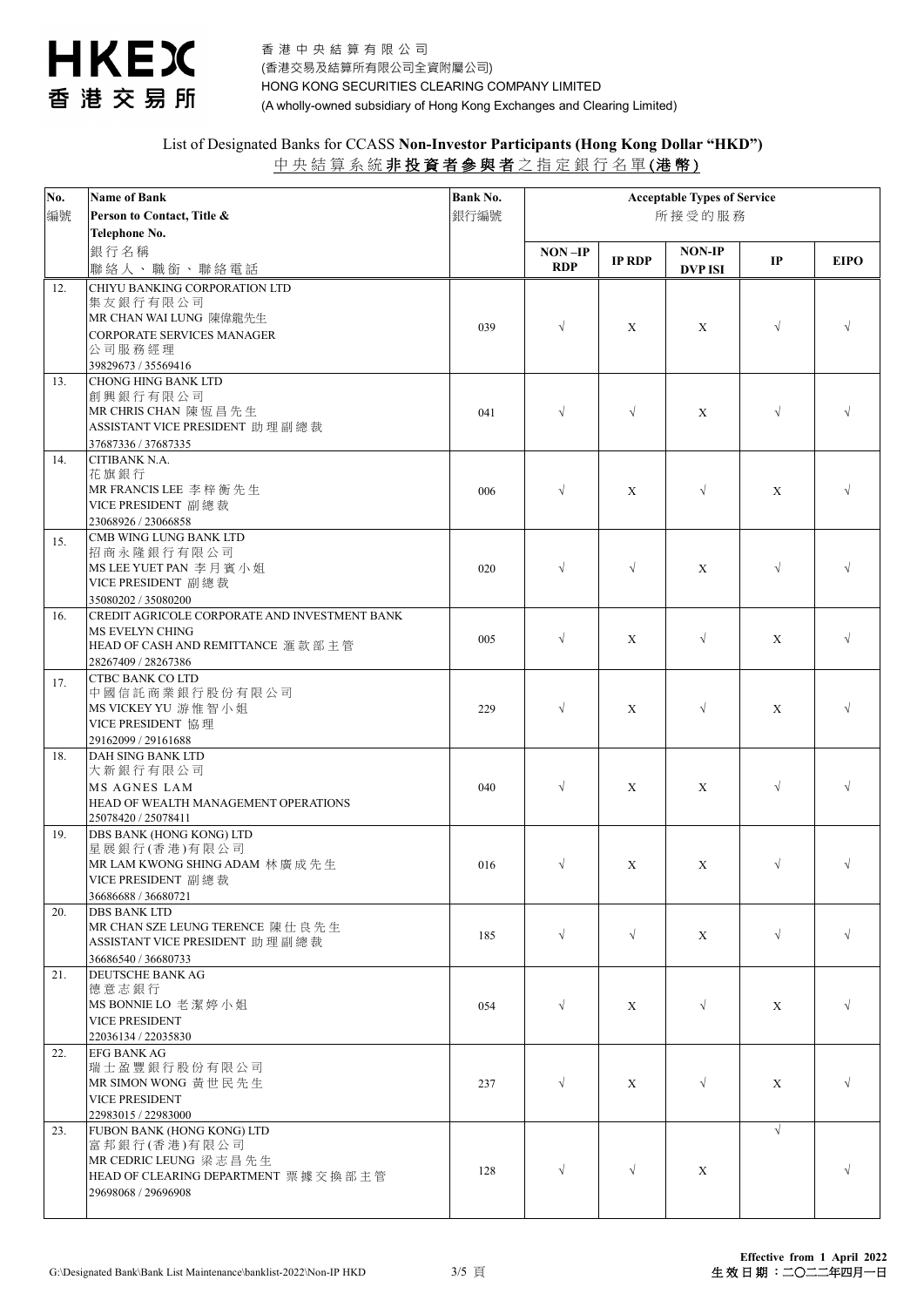

| No.<br>編號 | <b>Name of Bank</b><br>Person to Contact, Title &                                                                                   | <b>Bank No.</b><br>銀行編號 | <b>Acceptable Types of Service</b><br>所接受的服務 |               |                                 |               |             |
|-----------|-------------------------------------------------------------------------------------------------------------------------------------|-------------------------|----------------------------------------------|---------------|---------------------------------|---------------|-------------|
|           | Telephone No.<br>銀行名稱<br>聯絡人、職銜、聯絡電話                                                                                                |                         | NON-IP<br><b>RDP</b>                         | <b>IP RDP</b> | <b>NON-IP</b><br><b>DVP ISI</b> | $\mathbf{IP}$ | <b>EIPO</b> |
| 12.       | CHIYU BANKING CORPORATION LTD<br>集友銀行有限公司<br>MR CHAN WAI LUNG 陳偉龍先生<br>CORPORATE SERVICES MANAGER<br>公司服務經理<br>39829673 / 35569416  | 039                     | $\sqrt{ }$                                   | X             | X                               | $\sqrt{}$     |             |
| 13.       | <b>CHONG HING BANK LTD</b><br>創興銀行有限公司<br>MR CHRIS CHAN 陳恆昌先生<br>ASSISTANT VICE PRESIDENT 助理副總裁<br>37687336 / 37687335              | 041                     | $\sqrt{}$                                    | $\sqrt{ }$    | X                               | $\sqrt{ }$    | $\sqrt{ }$  |
| 14.       | CITIBANK N.A.<br>花旗銀行<br>MR FRANCIS LEE 李梓衡先生<br>VICE PRESIDENT 副總裁<br>23068926 / 23066858                                          | 006                     | $\sqrt{ }$                                   | X             | $\sqrt{ }$                      | X             | $\sqrt{ }$  |
| 15.       | CMB WING LUNG BANK LTD<br>招商永隆銀行有限公司<br>MS LEE YUET PAN 李月賓小姐<br>VICE PRESIDENT 副總裁<br>35080202 / 35080200                          | 020                     | $\sqrt{ }$                                   | $\sqrt{ }$    | X                               | $\sqrt{}$     | $\sqrt{ }$  |
| 16.       | CREDIT AGRICOLE CORPORATE AND INVESTMENT BANK<br><b>MS EVELYN CHING</b><br>HEAD OF CASH AND REMITTANCE 滙款部主管<br>28267409 / 28267386 | 005                     | $\sqrt{ }$                                   | X             | $\sqrt{ }$                      | $\mathbf X$   | $\sqrt{ }$  |
| 17.       | <b>CTBC BANK CO LTD</b><br>中國信託商業銀行股份有限公司<br>MS VICKEY YU 游惟智小姐<br>VICE PRESIDENT 協理<br>29162099 / 29161688                         | 229                     | $\sqrt{ }$                                   | X             | $\sqrt{ }$                      | X             | $\sqrt{ }$  |
| 18.       | DAH SING BANK LTD<br>大新銀行有限公司<br>MS AGNES LAM<br>HEAD OF WEALTH MANAGEMENT OPERATIONS<br>25078420 / 25078411                        | 040                     | $\sqrt{ }$                                   | X             | X                               | $\sqrt{ }$    | $\sqrt{ }$  |
| 19.       | DBS BANK (HONG KONG) LTD<br>星展銀行(香港)有限公司<br>MR LAM KWONG SHING ADAM 林廣成先生<br>VICE PRESIDENT 副總裁<br>36686688 / 36680721              | 016                     | $\sqrt{ }$                                   | X             | X                               | $\sqrt{ }$    | $\sqrt{}$   |
| 20.       | <b>DBS BANK LTD</b><br>MR CHAN SZE LEUNG TERENCE 陳仕良先生<br>ASSISTANT VICE PRESIDENT 助理副總裁<br>36686540 / 36680733                     | 185                     | $\sqrt{ }$                                   | $\sqrt{ }$    | X                               | $\sqrt{ }$    | $\sqrt{ }$  |
| 21.       | DEUTSCHE BANK AG<br>德意志銀行<br>MS BONNIE LO 老潔婷小姐<br><b>VICE PRESIDENT</b><br>22036134 / 22035830                                     | 054                     | $\sqrt{ }$                                   | X             | $\sqrt{ }$                      | X             | $\sqrt{ }$  |
| 22.       | <b>EFG BANK AG</b><br>瑞士盈豐銀行股份有限公司<br>MR SIMON WONG 黃世民先生<br><b>VICE PRESIDENT</b><br>22983015 / 22983000                           | 237                     | $\sqrt{ }$                                   | X             | $\sqrt{ }$                      | X             | $\sqrt{ }$  |
| 23.       | FUBON BANK (HONG KONG) LTD<br>富邦銀行(香港)有限公司<br>MR CEDRIC LEUNG 梁志昌先生<br>HEAD OF CLEARING DEPARTMENT 票據交換部主管<br>29698068 / 29696908   | 128                     | $\sqrt{ }$                                   | $\sqrt{ }$    | X                               | $\sqrt{ }$    | $\sqrt{ }$  |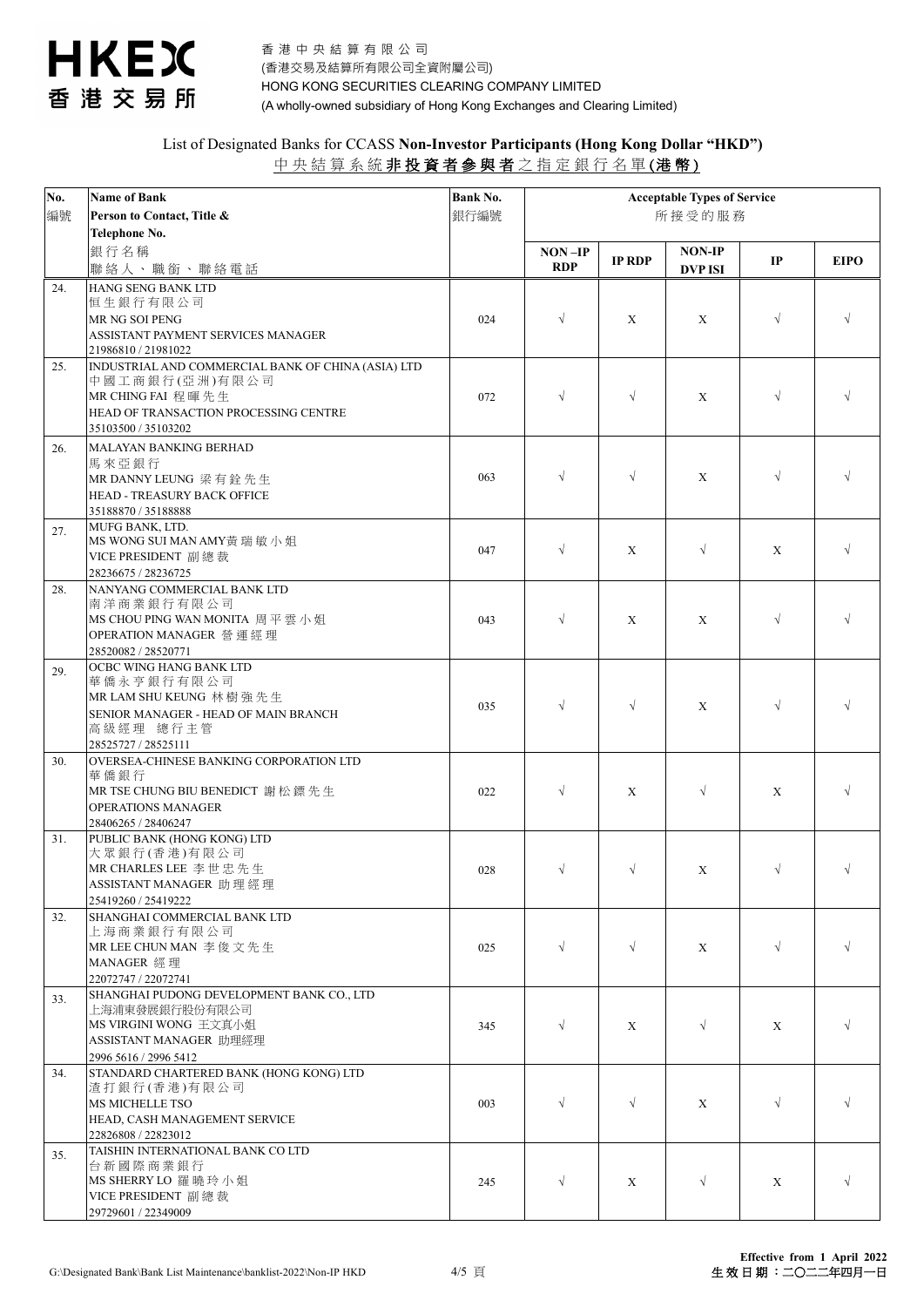

| No. | <b>Name of Bank</b>                                      | Bank No. | <b>Acceptable Types of Service</b> |               |                |               |             |
|-----|----------------------------------------------------------|----------|------------------------------------|---------------|----------------|---------------|-------------|
| 編號  | Person to Contact, Title &                               | 銀行編號     | 所接受的服務                             |               |                |               |             |
|     | Telephone No.                                            |          |                                    |               |                |               |             |
|     | 銀行名稱                                                     |          | $NON-IP$                           | <b>IP RDP</b> | <b>NON-IP</b>  | $\mathbf{IP}$ | <b>EIPO</b> |
|     | 聯絡人、職銜、聯絡電話                                              |          | <b>RDP</b>                         |               | <b>DVP ISI</b> |               |             |
| 24. | HANG SENG BANK LTD                                       |          |                                    |               |                |               |             |
|     | 恒生銀行有限公司                                                 |          |                                    |               |                |               |             |
|     | MR NG SOI PENG<br>ASSISTANT PAYMENT SERVICES MANAGER     | 024      | $\sqrt{ }$                         | X             | X              | $\sqrt{ }$    | $\sqrt{ }$  |
|     | 21986810 / 21981022                                      |          |                                    |               |                |               |             |
| 25. | INDUSTRIAL AND COMMERCIAL BANK OF CHINA (ASIA) LTD       |          |                                    |               |                |               |             |
|     | 中國工商銀行(亞洲)有限公司                                           |          |                                    |               |                |               |             |
|     | MR CHING FAI 程暉先生                                        | 072      | $\sqrt{ }$                         | $\sqrt{ }$    | X              | $\sqrt{}$     |             |
|     | HEAD OF TRANSACTION PROCESSING CENTRE                    |          |                                    |               |                |               |             |
|     | 35103500 / 35103202                                      |          |                                    |               |                |               |             |
| 26. | MALAYAN BANKING BERHAD                                   |          |                                    |               |                |               |             |
|     | 馬來亞銀行<br>MR DANNY LEUNG 梁有銓先生                            | 063      | $\sqrt{}$                          | $\sqrt{ }$    | X              | $\sqrt{}$     |             |
|     | HEAD - TREASURY BACK OFFICE                              |          |                                    |               |                |               |             |
|     | 35188870 / 35188888                                      |          |                                    |               |                |               |             |
| 27. | MUFG BANK, LTD.                                          |          |                                    |               |                |               |             |
|     | MS WONG SUI MAN AMY黃瑞敏小姐                                 | 047      | $\sqrt{ }$                         | X             | $\sqrt{ }$     | X             | $\sqrt{ }$  |
|     | VICE PRESIDENT 副總裁                                       |          |                                    |               |                |               |             |
| 28. | 28236675 / 28236725<br>NANYANG COMMERCIAL BANK LTD       |          |                                    |               |                |               |             |
|     | 南洋商業銀行有限公司                                               |          |                                    |               |                |               |             |
|     | MS CHOU PING WAN MONITA 周平雲小姐                            | 043      | $\sqrt{ }$                         | X             | X              | $\sqrt{}$     |             |
|     | OPERATION MANAGER 營運經理                                   |          |                                    |               |                |               |             |
|     | 28520082 / 28520771                                      |          |                                    |               |                |               |             |
| 29. | OCBC WING HANG BANK LTD                                  |          |                                    |               |                |               |             |
|     | 華僑永亨銀行有限公司<br>MR LAM SHU KEUNG 林樹強先生                     |          |                                    |               |                |               |             |
|     | SENIOR MANAGER - HEAD OF MAIN BRANCH                     | 035      | $\sqrt{ }$                         | $\sqrt{ }$    | X              | $\sqrt{ }$    |             |
|     | 高級經理 總行主管                                                |          |                                    |               |                |               |             |
|     | 28525727 / 28525111                                      |          |                                    |               |                |               |             |
| 30. | OVERSEA-CHINESE BANKING CORPORATION LTD                  |          |                                    |               |                |               |             |
|     | 華 僑 銀 行                                                  |          |                                    |               |                |               |             |
|     | MR TSE CHUNG BIU BENEDICT 謝松鏢先生                          | 022      | $\sqrt{ }$                         | X             | $\sqrt{ }$     | X             |             |
|     | <b>OPERATIONS MANAGER</b><br>28406265 / 28406247         |          |                                    |               |                |               |             |
| 31. | PUBLIC BANK (HONG KONG) LTD                              |          |                                    |               |                |               |             |
|     | 大眾銀行(香港)有限公司                                             |          |                                    |               |                |               |             |
|     | MR CHARLES LEE 李世忠先生                                     | 028      | $\sqrt{ }$                         | $\sqrt{ }$    | X              | $\sqrt{ }$    | $\sqrt{}$   |
|     | ASSISTANT MANAGER 助理經理                                   |          |                                    |               |                |               |             |
| 32. | 25419260 / 25419222<br>SHANGHAI COMMERCIAL BANK LTD      |          |                                    |               |                |               |             |
|     | 上海商業銀行有限公司                                               |          |                                    |               |                |               |             |
|     | MR LEE CHUN MAN 李俊文先生                                    | 025      | $\sqrt{ }$                         | $\sqrt{ }$    | X              | $\sqrt{ }$    | $\sqrt{ }$  |
|     | MANAGER 經理                                               |          |                                    |               |                |               |             |
|     | 22072747 / 22072741                                      |          |                                    |               |                |               |             |
| 33. | SHANGHAI PUDONG DEVELOPMENT BANK CO., LTD                |          |                                    |               |                |               |             |
|     | 上海浦東發展銀行股份有限公司<br>MS VIRGINI WONG 王文真小姐                  | 345      | $\sqrt{ }$                         | X             | $\sqrt{ }$     | X             | $\sqrt{ }$  |
|     | ASSISTANT MANAGER 助理經理                                   |          |                                    |               |                |               |             |
|     | 2996 5616 / 2996 5412                                    |          |                                    |               |                |               |             |
| 34. | STANDARD CHARTERED BANK (HONG KONG) LTD                  |          |                                    |               |                |               |             |
|     | 渣打銀行(香港)有限公司                                             |          |                                    |               |                |               |             |
|     | MS MICHELLE TSO                                          | 003      | $\sqrt{ }$                         | $\sqrt{ }$    | X              | $\sqrt{}$     |             |
|     | HEAD, CASH MANAGEMENT SERVICE                            |          |                                    |               |                |               |             |
|     | 22826808 / 22823012<br>TAISHIN INTERNATIONAL BANK CO LTD |          |                                    |               |                |               |             |
| 35. | 台新國際商業銀行                                                 |          |                                    |               |                |               |             |
|     | MS SHERRY LO 羅曉玲小姐                                       | 245      | $\sqrt{ }$                         | X             | $\sqrt{ }$     | X             | $\sqrt{ }$  |
|     | VICE PRESIDENT 副總裁                                       |          |                                    |               |                |               |             |
|     | 29729601 / 22349009                                      |          |                                    |               |                |               |             |